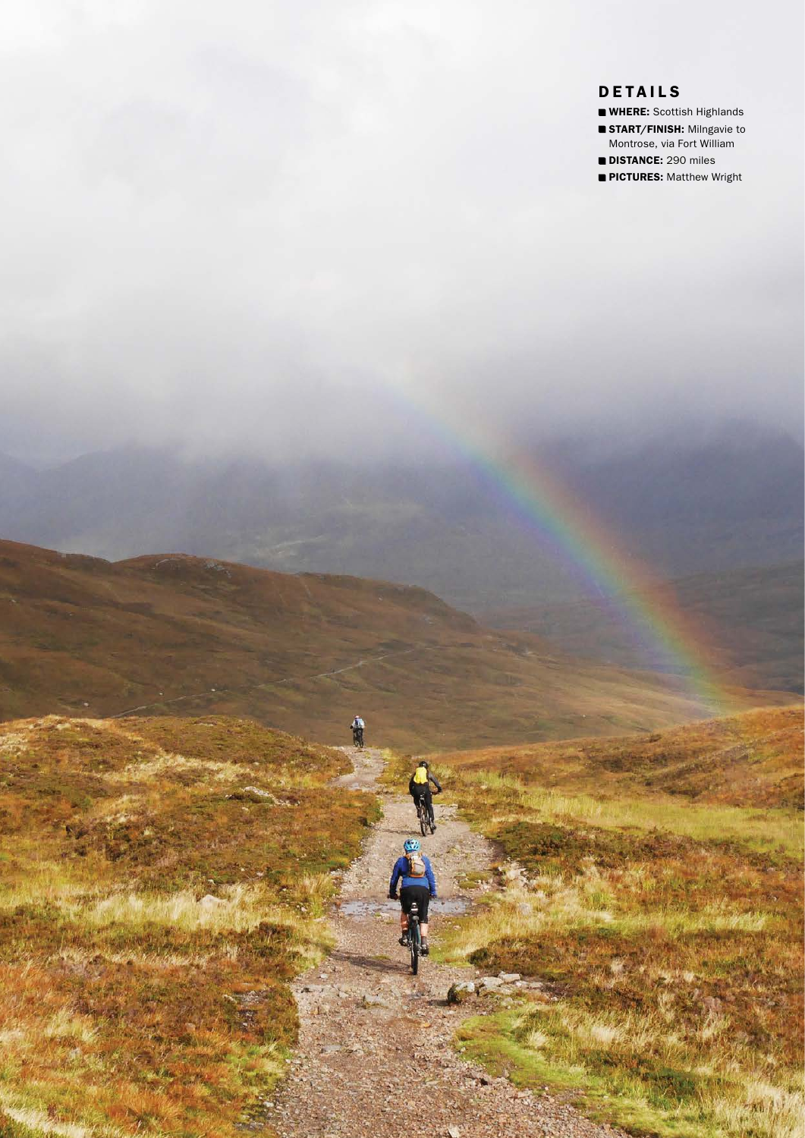## **DETAILS**

- **WHERE:** Scottish Highlands
- **START/FINISH: Milngavie to**

Montrose, via Fort William **DISTANCE: 290 miles** 

**PICTURES:** Matthew Wright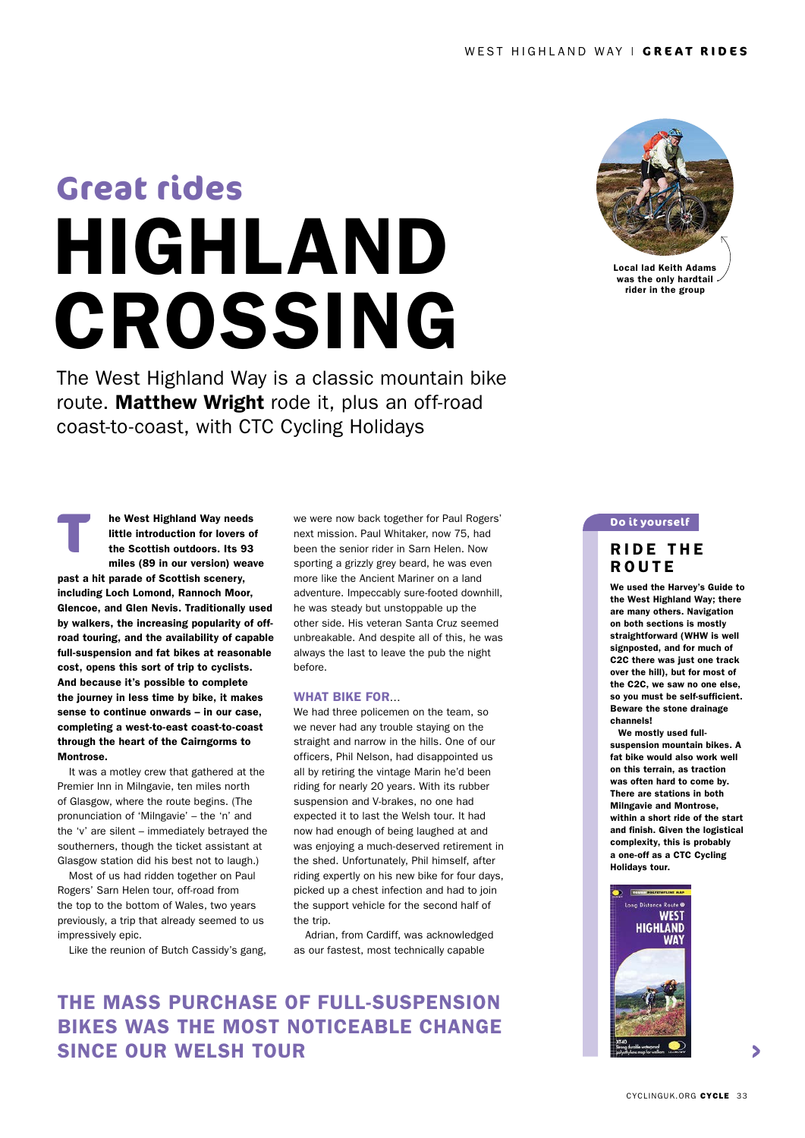# HIGHLAND **CROSSING Great rides**

The West Highland Way is a classic mountain bike route. Matthew Wright rode it, plus an off-road coast-to-coast, with CTC Cycling Holidays



It was a motley crew that gathered at the Premier Inn in Milngavie, ten miles north of Glasgow, where the route begins. (The pronunciation of 'Milngavie' – the 'n' and the 'v' are silent – immediately betrayed the southerners, though the ticket assistant at Glasgow station did his best not to laugh.)

Most of us had ridden together on Paul Rogers' Sarn Helen tour, off-road from the top to the bottom of Wales, two years previously, a trip that already seemed to us impressively epic.

Like the reunion of Butch Cassidy's gang,

we were now back together for Paul Rogers' next mission. Paul Whitaker, now 75, had been the senior rider in Sarn Helen. Now sporting a grizzly grey beard, he was even more like the Ancient Mariner on a land adventure. Impeccably sure-footed downhill, he was steady but unstoppable up the other side. His veteran Santa Cruz seemed unbreakable. And despite all of this, he was always the last to leave the pub the night before.

#### WHAT BIKE FOR…

We had three policemen on the team, so we never had any trouble staying on the straight and narrow in the hills. One of our officers, Phil Nelson, had disappointed us all by retiring the vintage Marin he'd been riding for nearly 20 years. With its rubber suspension and V-brakes, no one had expected it to last the Welsh tour. It had now had enough of being laughed at and was enjoying a much-deserved retirement in the shed. Unfortunately, Phil himself, after riding expertly on his new bike for four days, picked up a chest infection and had to join the support vehicle for the second half of the trip.

Adrian, from Cardiff, was acknowledged as our fastest, most technically capable

# THE MASS PURCHASE OF FULL-SUSPENSION BIKES WAS THE MOST NOTICEABLE CHANGE SINCE OUR WELSH TOUR



Local lad Keith Adams was the only hardtail<br>rider in the group

### **Do it yourself**

## **RIDE THE ROUTE**

We used the Harvey's Guide to the West Highland Way; there are many others. Navigation on both sections is mostly straightforward (WHW is well signposted, and for much of C2C there was just one track over the hill), but for most of the C2C, we saw no one else, so you must be self-sufficient. Beware the stone drainage channels!

We mostly used fullsuspension mountain bikes. A fat bike would also work well on this terrain, as traction was often hard to come by. There are stations in both Milngavie and Montrose, within a short ride of the start and finish. Given the logistical complexity, this is probably a one-off as a CTC Cycling Holidays tour.

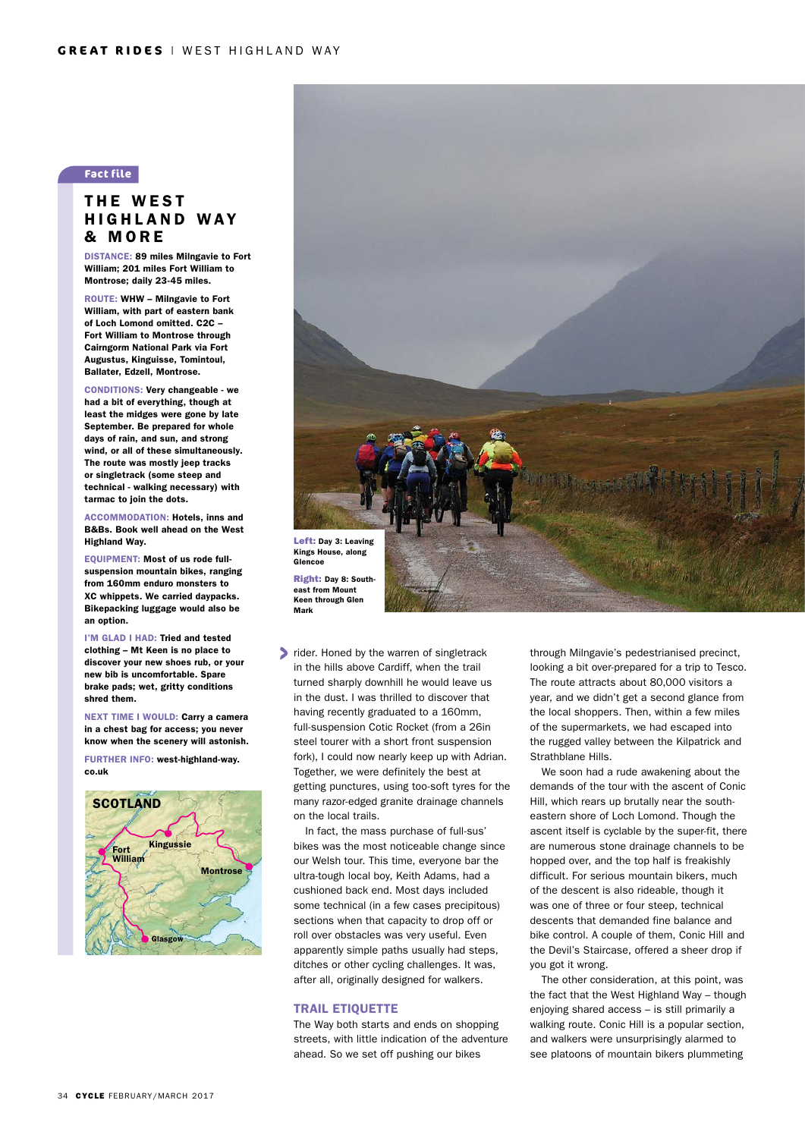## **Fact file**

## THE WEST HIGHLAND WAY & MORE

DISTANCE: 89 miles Milngavie to Fort William; 201 miles Fort William to Montrose; daily 23-45 miles.

ROUTE: WHW – Milngavie to Fort William, with part of eastern bank of Loch Lomond omitted. C2C – Fort William to Montrose through Cairngorm National Park via Fort Augustus, Kinguisse, Tomintoul, Ballater, Edzell, Montrose.

CONDITIONS: Very changeable - we had a bit of everything, though at least the midges were gone by late September. Be prepared for whole days of rain, and sun, and strong wind, or all of these simultaneously. The route was mostly jeep tracks or singletrack (some steep and technical - walking necessary) with tarmac to join the dots.

ACCOMMODATION: Hotels, inns and B&Bs. Book well ahead on the West Highland Way.

EQUIPMENT: Most of us rode fullsuspension mountain bikes, ranging from 160mm enduro monsters to XC whippets. We carried daypacks. Bikepacking luggage would also be an option.

I'M GLAD I HAD: Tried and tested clothing – Mt Keen is no place to discover your new shoes rub, or your new bib is uncomfortable. Spare brake pads; wet, gritty conditions shred them.

NEXT TIME I WOULD: Carry a camera in a chest bag for access; you never know when the scenery will astonish.

FURTHER INFO: [west-highland-way.](http://www.west-highland-way.co.uk/) [co.uk](http://www.west-highland-way.co.uk/)





Keen through Glen Mark

lacktriangler. Honed by the warren of singletrack in the hills above Cardiff, when the trail turned sharply downhill he would leave us in the dust. I was thrilled to discover that having recently graduated to a 160mm, full-suspension Cotic Rocket (from a 26in steel tourer with a short front suspension fork), I could now nearly keep up with Adrian. Together, we were definitely the best at getting punctures, using too-soft tyres for the many razor-edged granite drainage channels on the local trails.

In fact, the mass purchase of full-sus' bikes was the most noticeable change since our Welsh tour. This time, everyone bar the ultra-tough local boy, Keith Adams, had a cushioned back end. Most days included some technical (in a few cases precipitous) sections when that capacity to drop off or roll over obstacles was very useful. Even apparently simple paths usually had steps, ditches or other cycling challenges. It was, after all, originally designed for walkers.

#### TRAIL ETIQUETTE

The Way both starts and ends on shopping streets, with little indication of the adventure ahead. So we set off pushing our bikes

through Milngavie's pedestrianised precinct, looking a bit over-prepared for a trip to Tesco. The route attracts about 80,000 visitors a year, and we didn't get a second glance from the local shoppers. Then, within a few miles of the supermarkets, we had escaped into the rugged valley between the Kilpatrick and Strathblane Hills.

We soon had a rude awakening about the demands of the tour with the ascent of Conic Hill, which rears up brutally near the southeastern shore of Loch Lomond. Though the ascent itself is cyclable by the super-fit, there are numerous stone drainage channels to be hopped over, and the top half is freakishly difficult. For serious mountain bikers, much of the descent is also rideable, though it was one of three or four steep, technical descents that demanded fine balance and bike control. A couple of them, Conic Hill and the Devil's Staircase, offered a sheer drop if you got it wrong.

The other consideration, at this point, was the fact that the West Highland Way – though enjoying shared access – is still primarily a walking route. Conic Hill is a popular section, and walkers were unsurprisingly alarmed to see platoons of mountain bikers plummeting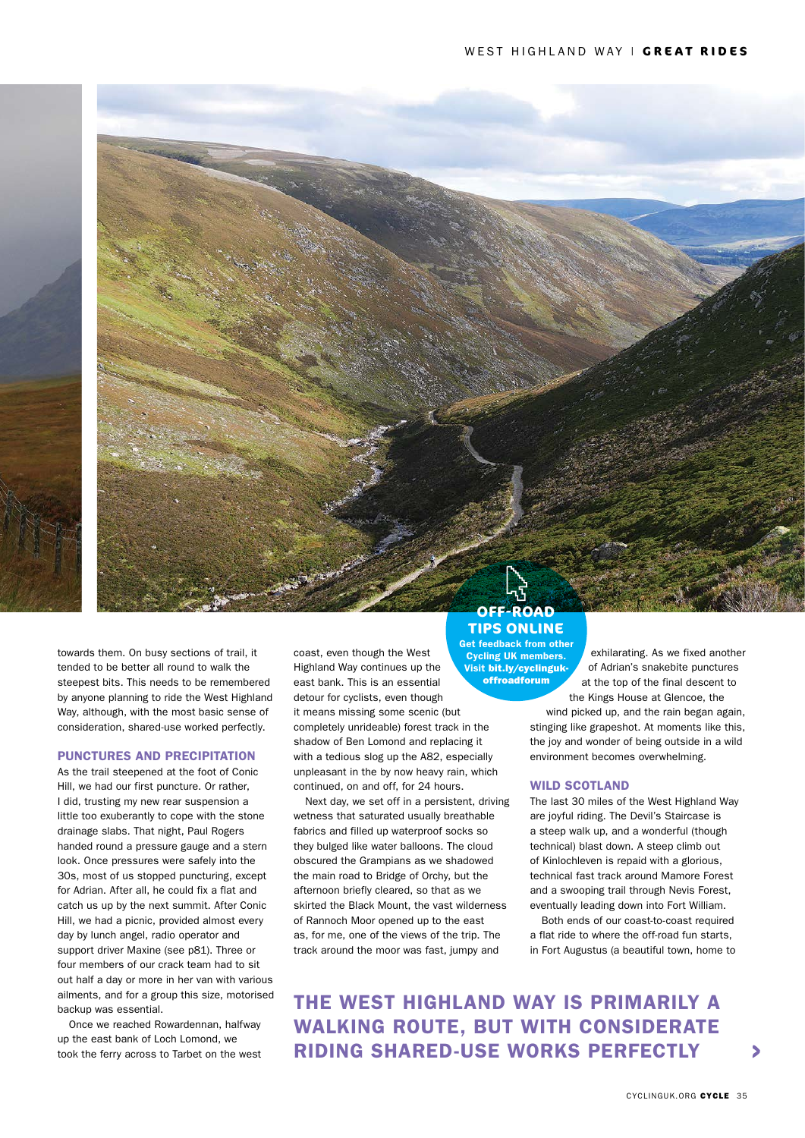towards them. On busy sections of trail, it tended to be better all round to walk the steepest bits. This needs to be remembered by anyone planning to ride the West Highland Way, although, with the most basic sense of consideration, shared-use worked perfectly.

## PUNCTURES AND PRECIPITATION

As the trail steepened at the foot of Conic Hill, we had our first puncture. Or rather, I did, trusting my new rear suspension a little too exuberantly to cope with the stone drainage slabs. That night, Paul Rogers handed round a pressure gauge and a stern look. Once pressures were safely into the 30s, most of us stopped puncturing, except for Adrian. After all, he could fix a flat and catch us up by the next summit. After Conic Hill, we had a picnic, provided almost every day by lunch angel, radio operator and support driver Maxine (see p81). Three or four members of our crack team had to sit out half a day or more in her van with various ailments, and for a group this size, motorised backup was essential.

Once we reached Rowardennan, halfway up the east bank of Loch Lomond, we took the ferry across to Tarbet on the west coast, even though the West Highland Way continues up the east bank. This is an essential detour for cyclists, even though it means missing some scenic (but completely unrideable) forest track in the shadow of Ben Lomond and replacing it with a tedious slog up the A82, especially unpleasant in the by now heavy rain, which continued, on and off, for 24 hours.

Next day, we set off in a persistent, driving wetness that saturated usually breathable fabrics and filled up waterproof socks so they bulged like water balloons. The cloud obscured the Grampians as we shadowed the main road to Bridge of Orchy, but the afternoon briefly cleared, so that as we skirted the Black Mount, the vast wilderness of Rannoch Moor opened up to the east as, for me, one of the views of the trip. The track around the moor was fast, jumpy and

## **OFF-ROAD TIPS ONLINE**

Get feedback from other Cycling UK members. Visit bit.ly/cyclingukoffroadforum

exhilarating. As we fixed another of Adrian's snakebite punctures at the top of the final descent to the Kings House at Glencoe, the

wind picked up, and the rain began again, stinging like grapeshot. At moments like this, the joy and wonder of being outside in a wild environment becomes overwhelming.

#### WILD SCOTLAND

The last 30 miles of the West Highland Way are joyful riding. The Devil's Staircase is a steep walk up, and a wonderful (though technical) blast down. A steep climb out of Kinlochleven is repaid with a glorious, technical fast track around Mamore Forest and a swooping trail through Nevis Forest, eventually leading down into Fort William.

Both ends of our coast-to-coast required a flat ride to where the off-road fun starts, in Fort Augustus (a beautiful town, home to

THE WEST HIGHLAND WAY IS PRIMARILY A WALKING ROUTE, BUT WITH CONSIDERATE RIDING SHARED-USE WORKS PERFECTLY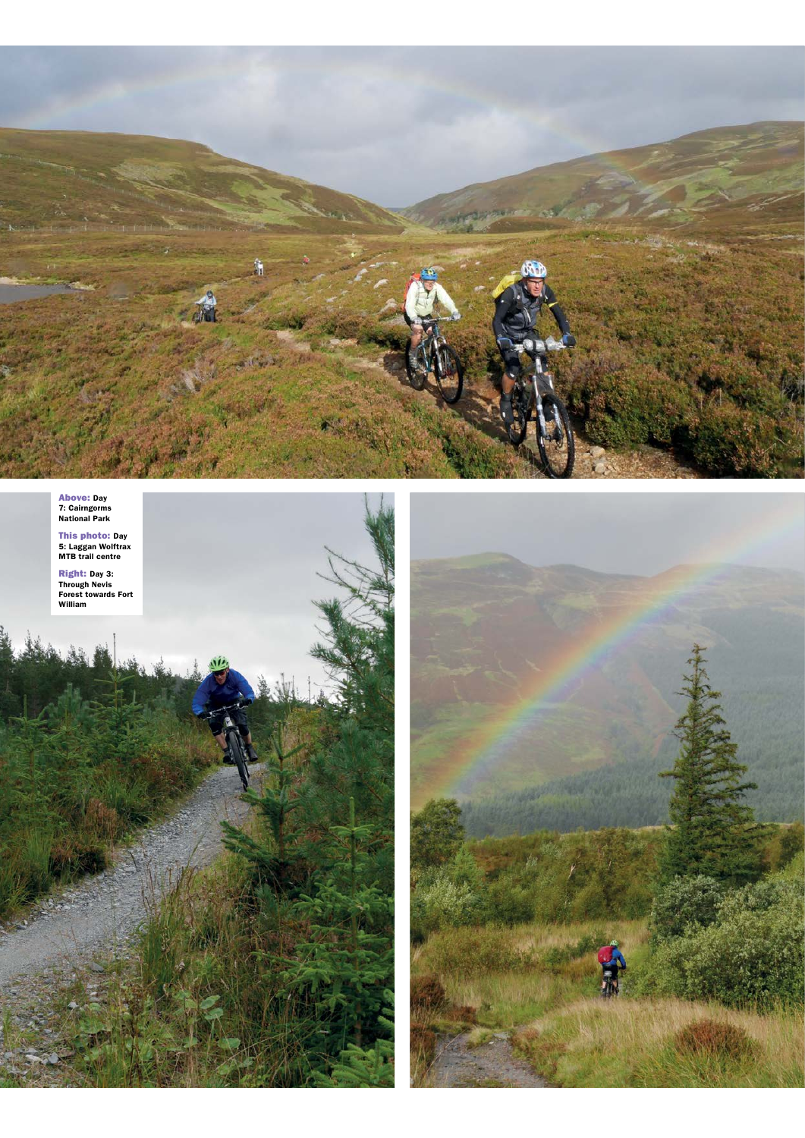

Above: Day 7: Cairngorms National Park

**This photo:** Day<br>5: Laggan Wolftrax<br>MTB trail centre

**Right:** Day 3:<br>Through Nevis<br>Forest towards Fort<br>William